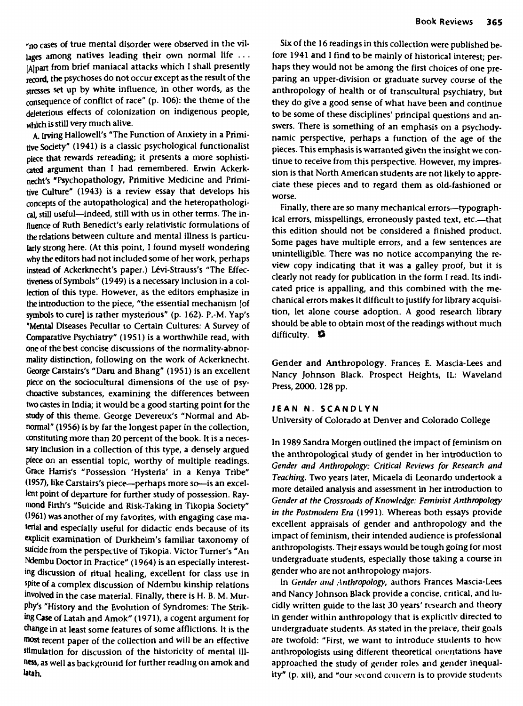A. Irving Hallowell's "The Function of Anxiety in a Primitive Society" (1941) is a classic psychological functionalist piece that rewards rereading; it presents a more sophisticated argument than I had remembered. Erwin Ackerknecht's "Psychopathology, Primitive Medicine and Primitive Culture" (1943) is a review essay that develops his concepts of the autopathological and the heteropathological, still useful—indeed, still with us in other terms. The influence of Ruth Benedict's early relativistic formulations of the relations between culture and mental illness is particularly strong here. (At this point, I found myself wondering why the editors had not included some of her work, perhaps instead of Ackerknecht's paper.) Lévi-Strauss's "The Effectiveness of Symbols" (1949) is a necessary inclusion in a collection of this type. However, as the editors emphasize in the introduction to the piece, "the essential mechanism [of symbols to cure] is rather mysterious" (p. 162). P.-M. Yap's "Mental Diseases Peculiar to Certain Cultures: A Survey of Comparative Psychiatry" (1951) is a worthwhile read, with one of the best concise discussions of the normality-abnormality distinction, following on the work of Ackerknecht. George Carstairs's "Daru and Bhang" (1951) is an excellent piece on the sociocultural dimensions of the use of psychoactive substances, examining the differences between two castes in India; it would be a good starting point for the study of this theme. George Devereux's "Normal and Abnormal" (1956) is by far the longest paper in the collection, constituting more than 20 percent of the book. It is a necessary inclusion in a collection of this type, a densely argued piece on an essential topic, worthy of multiple readings. Grace Harris's "Possession 'Hysteria' in a Kenya Tribe" (1957), like Carstairs's piece—perhaps more so—is an excellent point of departure for further study of possession. Raymond Firth's "Suicide and Risk-Taking in Tikopia Society" (1961) was another of my favorites, with engaging case material and especially useful for didactic ends because of its explicit examination of Durkheim's familiar taxonomy of suicide from the perspective of Tikopia. Victor Turner's "An Ndembu Doctor in Practice" (1964) is an especially interesting discussion of ritual healing, excellent for class use in spite of a complex discussion of Ndembu kinship relations involved in the case material. Finally, there is H. B. M. Murphy's "History and the Evolution of Syndromes: The Strikrups answey and the evolution of syndromes. The sunk-<br>ing Case of Latch and Amobil (1971), a cogent argument for change in at least some features of some afflictions. It is the mange in at reast some reatures or some anneurons. It is the stimulation for discussion of the historicity of mental  $\ddot{u}$ stimulation for discussion of the historicity of mental ill-<br>ness, as well as background for further reading on amok and latah.

Six of the 16 readings in this collection were published before 1941 and I find to be mainly of historical interest; perhaps they would not be among the first choices of one preparing an upper-division or graduate survey course of the anthropology of health or of transcultural psychiatry, but they do give a good sense of what have been and continue to be some of these disciplines' principal questions and answers. There is something of an emphasis on a psychodynamic perspective, perhaps a function of the age of the pieces. This emphasis is warranted given the insight we continue to receive from this perspective. However, my impression is that North American students are not likely to appreciate these pieces and to regard them as old-fashioned or worse.

Finally, there are so many mechanical errors—typographical errors, misspellings, erroneously pasted text, etc.—that this edition should not be considered a finished product. Some pages have multiple errors, and a few sentences are unintelligible. There was no notice accompanying the review copy indicating that it was a galley proof, but it is clearly not ready for publication in the form I read. Its indicated price is appalling, and this combined with the mechanical errors makes it difficult to justify for library acquisition, let alone course adoption. A good research library should be able to obtain most of the readings without much difficulty. ©

Gender and Anthropology. Frances E. Mascia-Lees and Nancy Johnson Black. Prospect Heights, IL: Waveland Press, 2000. 128 pp.

## **JEAN N. SCANDLYN**

University of Colorado at Denver and Colorado College

In 1989 Sandra Morgen outlined the impact of feminism on the anthropological study of gender in her introduction to *Gender and Anthropology: Critical Reviews for Research and Teaching.* Two years later, Micaela di Leonardo undertook a more detailed analysis and assessment in her introduction to *Gender at the Crossroads of Knowledge: Feminist Anthropology in the Postmodern Era* (1991). Whereas both essays provide excellent appraisals of gender and anthropology and the impact of feminism, their intended audience is professional anthropologists. Their essays would be tough going for most undergraduate students, especially those taking a course in gender who are not anthropology majors.

In *Gender and Anthropology,* authors Frances Mascia-Lees and Nancy Johnson Black provide a concise, critical, and lucidly written guide to the last 30 years' research and theory in gender within anthropology that is explicitly directed to undergraduate students. As stated in the prelace, their goals are twofold: "First, we want to introduce students to how anthropologists using different theoretical orientations have approached the study of gender roles and gender inequality" (p. xii), and "our second concern is to provide students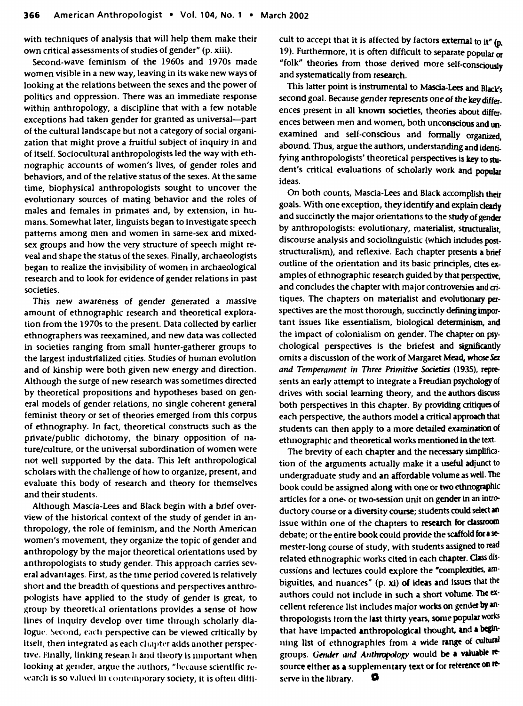**with techniques of analysis that will help them make their own critical assessments of studies of gender" (p. xiii).**

**Second-wave feminism of the 1960s and 1970s made women visible in a new way, leaving in its wake new ways of looking at the relations between the sexes and the power of politics and oppression. There was an immediate response within anthropology, a discipline that with a few notable exceptions had taken gender for granted as universal—part of the cultural landscape but not a category of social organization that might prove a fruitful subject of inquiry in and of itself. Sociocultural anthropologists led the way with ethnographic accounts of women's lives, of gender roles and behaviors, and of the relative status of the sexes. At the same time, biophysical anthropologists sought to uncover the evolutionary sources of mating behavior and the roles of males and females in primates and, by extension, in humans. Somewhat later, linguists began to investigate speech patterns among men and women in same-sex and mixedsex groups and how the very structure of speech might reveal and shape the status of the sexes. Finally, archaeologists began to realize the invisibility of women in archaeological research and to look for evidence of gender relations in past societies.**

**This new awareness of gender generated a massive amount of ethnographic research and theoretical exploration from the 1970s to the present. Data collected by earlier ethnographers was reexamined, and new data was collected in societies ranging from small hunter-gatherer groups to the largest industrialized cities. Studies of human evolution and of kinship were both given new energy and direction. Although the surge of new research was sometimes directed by theoretical propositions and hypotheses based on general models of gender relations, no single coherent general feminist theory or set of theories emerged from this corpus of ethnography. In fact, theoretical constructs such as the private/public dichotomy, the binary opposition of nature/culture, or the universal subordination of women were not well supported by the data. This left anthropological scholars with the challenge of how to organize, present, and evaluate this body of research and theory for themselves and their students.**

**Although Mascia-Lees and Black begin with a brief overview of the historical context of the study of gender in anthropology, the role of feminism, and the North American women's movement, they organize the topic of gender and anthropology by the major theoretical orientations used by anthropologists to study gender. This approach carries several advantages. First, as the time period covered is relatively short and the breadth of questions and perspectives anthropologists have applied to the study of gender is great, to jjroup by theoretical orientations provides a sense of how lines of inquiry develop over time through scholarly dia**logue. Second, each perspective can be viewed critically by itself, then integrated as each chapter adds another perspec**tive. Finally, linking research and theory is important when looking at gender, argue the authors, "because scientific research is so valued in contemporary society, it is often ditti-** **cult to accept that it is affected by factors external to it" (p. 19). Furthermore, it is often difficult to separate popular or "folk" theories from those derived more self-consciously and systematically from research.**

**This latter point is instrumental to Mascia-Lees and Black's second goal. Because gender represents one of the key differences present in all known societies, theories about differences between men and women, both unconscious and unexamined and self-conscious and formally organized, abound. Thus, argue the authors, understanding and identifying anthropologists' theoretical perspectives is key to student's critical evaluations of scholarly work and popular ideas.**

**On both counts, Mascia-Lees and Black accomplish their goals. With one exception, they identify and explain clearly and succinctly the major orientations to the study of gender by anthropologists: evolutionary, materialist, structuralist, discourse analysis and sociolinguistic (which includes poststructuralism), and reflexive. Each chapter presents a brief outline of the orientation and its basic principles, cites examples of ethnographic research guided by that perspective, and concludes the chapter with major controversies and critiques. The chapters on materialist and evolutionary perspectives are the most thorough, succinctly defining important issues like essentialism, biological determinism, and the impact of colonialism on gender. The chapter on psychological perspectives is the briefest and significantly omits a discussion of the work of Margaret Mead, whose** *5a and Temperament in Three Primitive Societies* **(1935), represents an early attempt to integrate a Freudian psychology of drives with social learning theory, and the authors discuss both perspectives in this chapter. By providing critiques of each perspective, the authors model a critical approach that students can then apply to a more detailed examination of ethnographic and theoretical works mentioned in the text.**

**The brevity of each chapter and the necessary simplification of the arguments actually make it a useful adjunct to undergraduate study and an affordable volume as well. The book could be assigned along with one or two ethnographic articles for a one- or two-session unit on gender in an introductory course or a diversity course; students could select an issue within one of the chapters to research for classroom debate; or the entire book could provide the scaffold fora semester-long course of study, with students assigned to read related ethnographic works cited in each chapter. Class discussions and lectures could explore the "complexities, ambiguities, and nuances" (p. xi) of ideas and issues that the authors could not include in such a short volume. The excellent reference list includes major works on gender by anthropologists troin the last thirty years, some popular works that have impacted anthropological thought, and a beginning list of ethnographies from a wide range of cultural** groups. Gender and Anthropology would be a valuable re**source either as a supplementary text or for reference on re\* serve In the library. O**